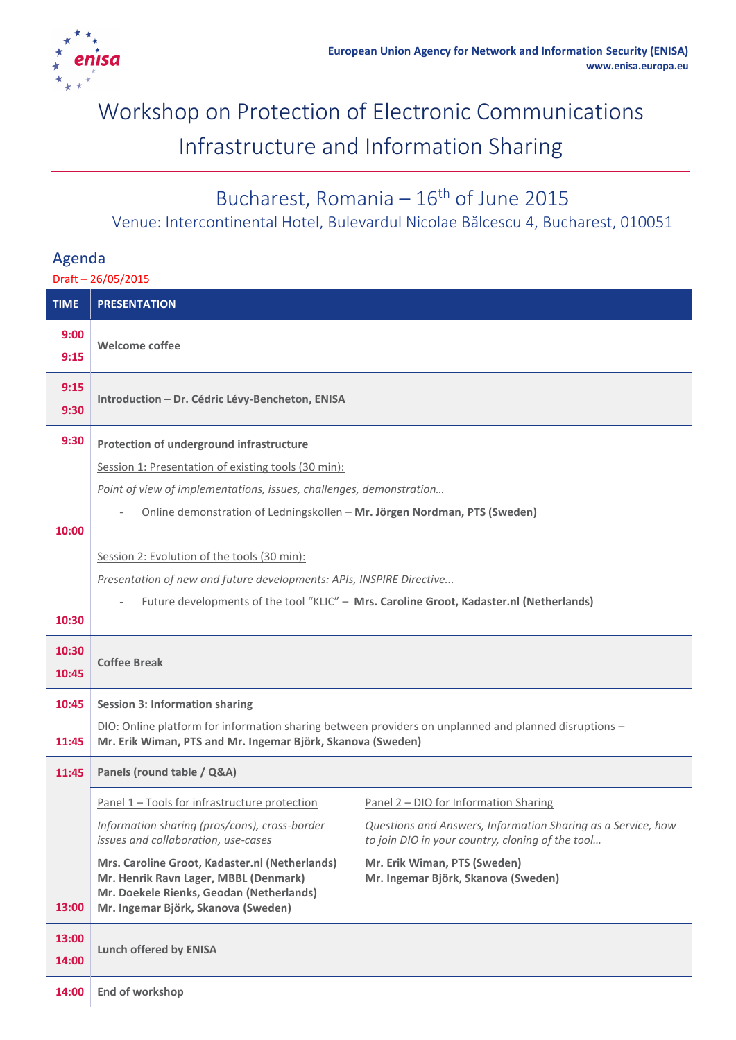

# Workshop on Protection of Electronic Communications Infrastructure and Information Sharing

## Bucharest, Romania  $-16^{th}$  of June 2015

Venue: Intercontinental Hotel, Bulevardul Nicolae Bălcescu 4, Bucharest, 010051

### Agenda

Draft – 26/05/2015

| <b>TIME</b> | <b>PRESENTATION</b>                                                                                   |                                                                                                                  |
|-------------|-------------------------------------------------------------------------------------------------------|------------------------------------------------------------------------------------------------------------------|
| 9:00        |                                                                                                       |                                                                                                                  |
| 9:15        | <b>Welcome coffee</b>                                                                                 |                                                                                                                  |
| 9:15        | Introduction - Dr. Cédric Lévy-Bencheton, ENISA                                                       |                                                                                                                  |
| 9:30        |                                                                                                       |                                                                                                                  |
| 9:30        | Protection of underground infrastructure                                                              |                                                                                                                  |
|             | Session 1: Presentation of existing tools (30 min):                                                   |                                                                                                                  |
|             | Point of view of implementations, issues, challenges, demonstration                                   |                                                                                                                  |
|             | Online demonstration of Ledningskollen - Mr. Jörgen Nordman, PTS (Sweden)                             |                                                                                                                  |
| 10:00       |                                                                                                       |                                                                                                                  |
|             | Session 2: Evolution of the tools (30 min):                                                           |                                                                                                                  |
|             | Presentation of new and future developments: APIs, INSPIRE Directive                                  |                                                                                                                  |
|             | Future developments of the tool "KLIC" - Mrs. Caroline Groot, Kadaster.nl (Netherlands)               |                                                                                                                  |
| 10:30       |                                                                                                       |                                                                                                                  |
| 10:30       | <b>Coffee Break</b>                                                                                   |                                                                                                                  |
| 10:45       |                                                                                                       |                                                                                                                  |
| 10:45       | <b>Session 3: Information sharing</b>                                                                 |                                                                                                                  |
|             | DIO: Online platform for information sharing between providers on unplanned and planned disruptions - |                                                                                                                  |
| 11:45       | Mr. Erik Wiman, PTS and Mr. Ingemar Björk, Skanova (Sweden)                                           |                                                                                                                  |
| 11:45       | Panels (round table / Q&A)                                                                            |                                                                                                                  |
|             | Panel 1 - Tools for infrastructure protection                                                         | Panel 2 - DIO for Information Sharing                                                                            |
|             | Information sharing (pros/cons), cross-border<br>issues and collaboration, use-cases                  | Questions and Answers, Information Sharing as a Service, how<br>to join DIO in your country, cloning of the tool |
|             | Mrs. Caroline Groot, Kadaster.nl (Netherlands)                                                        | Mr. Erik Wiman, PTS (Sweden)                                                                                     |
|             | Mr. Henrik Ravn Lager, MBBL (Denmark)<br>Mr. Doekele Rienks, Geodan (Netherlands)                     | Mr. Ingemar Björk, Skanova (Sweden)                                                                              |
| 13:00       | Mr. Ingemar Björk, Skanova (Sweden)                                                                   |                                                                                                                  |
| 13:00       | <b>Lunch offered by ENISA</b>                                                                         |                                                                                                                  |
| 14:00       |                                                                                                       |                                                                                                                  |
| 14:00       | <b>End of workshop</b>                                                                                |                                                                                                                  |